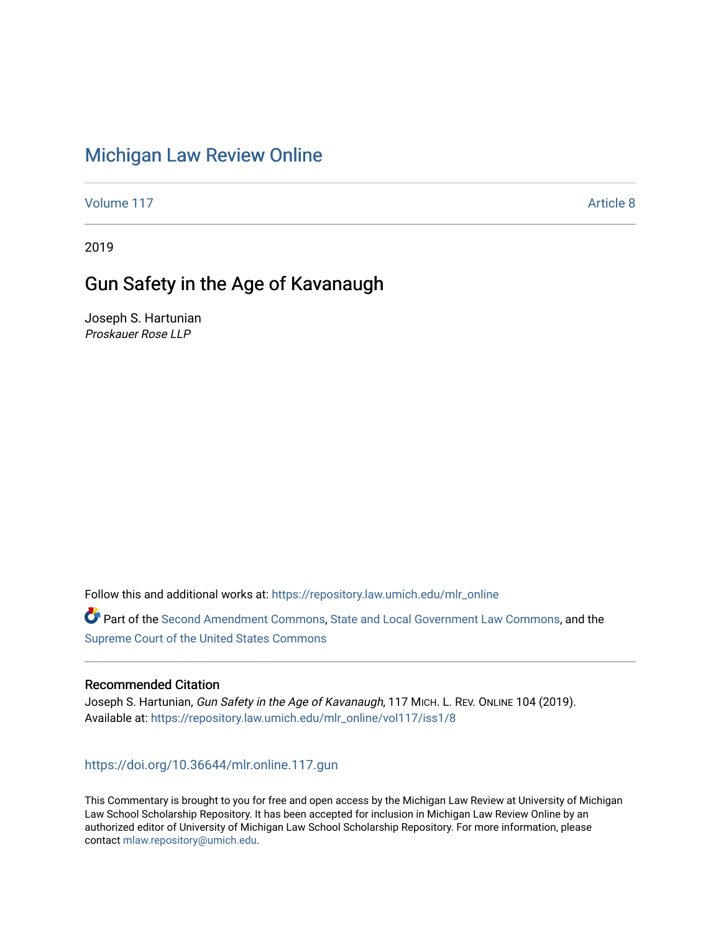# [Michigan Law Review Online](https://repository.law.umich.edu/mlr_online)

[Volume 117](https://repository.law.umich.edu/mlr_online/vol117) Article 8

2019

# Gun Safety in the Age of Kavanaugh

Joseph S. Hartunian Proskauer Rose LLP

Follow this and additional works at: [https://repository.law.umich.edu/mlr\\_online](https://repository.law.umich.edu/mlr_online?utm_source=repository.law.umich.edu%2Fmlr_online%2Fvol117%2Fiss1%2F8&utm_medium=PDF&utm_campaign=PDFCoverPages) 

Part of the [Second Amendment Commons](http://network.bepress.com/hgg/discipline/1119?utm_source=repository.law.umich.edu%2Fmlr_online%2Fvol117%2Fiss1%2F8&utm_medium=PDF&utm_campaign=PDFCoverPages), [State and Local Government Law Commons,](http://network.bepress.com/hgg/discipline/879?utm_source=repository.law.umich.edu%2Fmlr_online%2Fvol117%2Fiss1%2F8&utm_medium=PDF&utm_campaign=PDFCoverPages) and the [Supreme Court of the United States Commons](http://network.bepress.com/hgg/discipline/1350?utm_source=repository.law.umich.edu%2Fmlr_online%2Fvol117%2Fiss1%2F8&utm_medium=PDF&utm_campaign=PDFCoverPages) 

#### Recommended Citation

Joseph S. Hartunian, Gun Safety in the Age of Kavanaugh, 117 MICH. L. REV. ONLINE 104 (2019). Available at: [https://repository.law.umich.edu/mlr\\_online/vol117/iss1/8](https://repository.law.umich.edu/mlr_online/vol117/iss1/8?utm_source=repository.law.umich.edu%2Fmlr_online%2Fvol117%2Fiss1%2F8&utm_medium=PDF&utm_campaign=PDFCoverPages)

<https://doi.org/10.36644/mlr.online.117.gun>

This Commentary is brought to you for free and open access by the Michigan Law Review at University of Michigan Law School Scholarship Repository. It has been accepted for inclusion in Michigan Law Review Online by an authorized editor of University of Michigan Law School Scholarship Repository. For more information, please contact [mlaw.repository@umich.edu](mailto:mlaw.repository@umich.edu).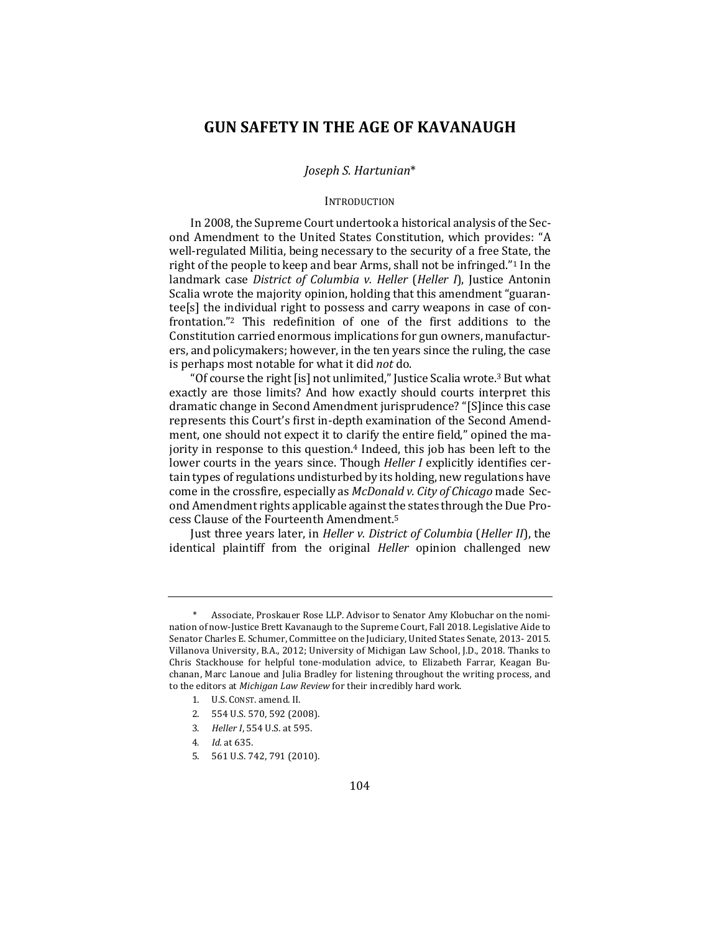### **GUN SAFETY IN THE AGE OF KAVANAUGH**

#### *Joseph S. Hartunian*\*

#### **INTRODUCTION**

In 2008, the Supreme Court undertook a historical analysis of the Second Amendment to the United States Constitution, which provides: "A well-regulated Militia, being necessary to the security of a free State, the right of the people to keep and bear Arms, shall not be infringed."<sup>1</sup> In the landmark case *District of Columbia v. Heller* (*Heller I*), Justice Antonin Scalia wrote the majority opinion, holding that this amendment "guarantee[s] the individual right to possess and carry weapons in case of confrontation."<sup>2</sup> This redefinition of one of the first additions to the Constitution carried enormous implications for gun owners, manufacturers, and policymakers; however, in the ten years since the ruling, the case is perhaps most notable for what it did *not* do.

"Of course the right [is] not unlimited," Justice Scalia wrote.<sup>3</sup> But what exactly are those limits? And how exactly should courts interpret this dramatic change in Second Amendment jurisprudence? "[S]ince this case represents this Court's first in-depth examination of the Second Amendment, one should not expect it to clarify the entire field," opined the majority in response to this question. $4$  Indeed, this job has been left to the lower courts in the years since. Though *Heller I* explicitly identifies certain types of regulations undisturbed by its holding, new regulations have come in the crossfire, especially as *McDonald v. City of Chicago* made Second Amendment rights applicable against the states through the Due Process Clause of the Fourteenth Amendment.<sup>5</sup>

Just three years later, in *Heller v. District of Columbia* (*Heller II*), the identical plaintiff from the original *Heller* opinion challenged new

Associate, Proskauer Rose LLP. Advisor to Senator Amy Klobuchar on the nomination of now-Justice Brett Kavanaugh to the Supreme Court, Fall 2018. Legislative Aide to Senator Charles E. Schumer, Committee on the Judiciary, United States Senate, 2013-2015. Villanova University, B.A., 2012; University of Michigan Law School, J.D., 2018. Thanks to Chris Stackhouse for helpful tone-modulation advice, to Elizabeth Farrar, Keagan Buchanan, Marc Lanoue and Julia Bradley for listening throughout the writing process, and to the editors at Michigan Law Review for their incredibly hard work.

<sup>1.</sup> U.S. CONST. amend. II.

<sup>2. 554</sup> U.S. 570, 592 (2008).

<sup>3.</sup> *Heller I*, 554 U.S. at 595.

<sup>4</sup>*. Id.* at 635.

<sup>5. 561</sup> U.S. 742, 791 (2010).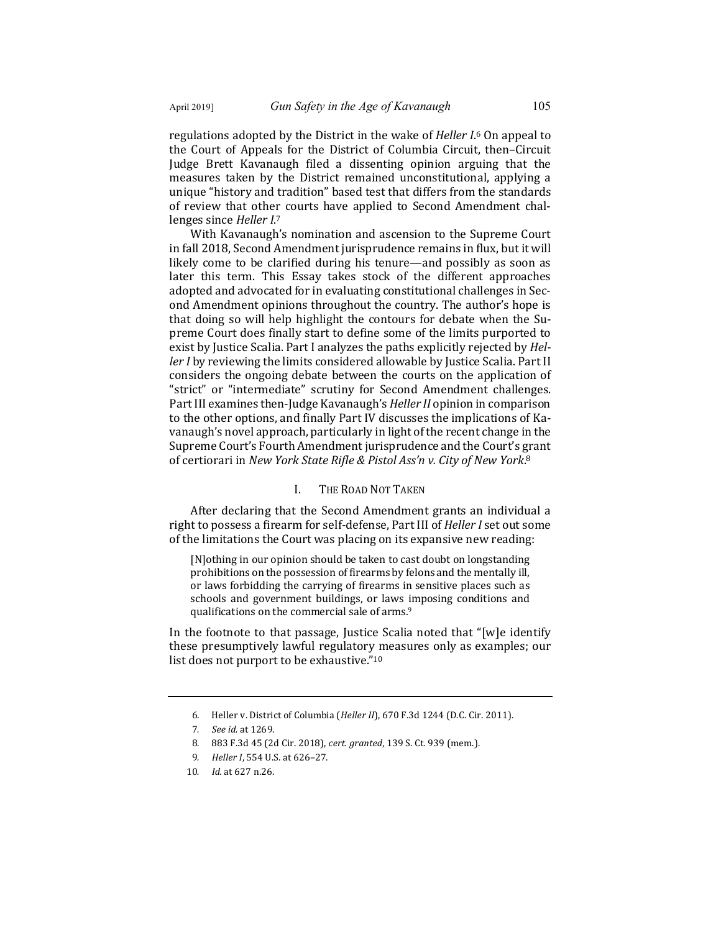regulations adopted by the District in the wake of *Heller I*.<sup>6</sup> On appeal to the Court of Appeals for the District of Columbia Circuit, then-Circuit Judge Brett Kavanaugh filed a dissenting opinion arguing that the measures taken by the District remained unconstitutional, applying a unique "history and tradition" based test that differs from the standards of review that other courts have applied to Second Amendment challenges since Heller I.<sup>7</sup>

With Kavanaugh's nomination and ascension to the Supreme Court in fall 2018, Second Amendment jurisprudence remains in flux, but it will likely come to be clarified during his tenure—and possibly as soon as later this term. This Essay takes stock of the different approaches adopted and advocated for in evaluating constitutional challenges in Second Amendment opinions throughout the country. The author's hope is that doing so will help highlight the contours for debate when the Supreme Court does finally start to define some of the limits purported to exist by Justice Scalia. Part I analyzes the paths explicitly rejected by *Heller I* by reviewing the limits considered allowable by Justice Scalia. Part II considers the ongoing debate between the courts on the application of "strict" or "intermediate" scrutiny for Second Amendment challenges. Part III examines then-Judge Kavanaugh's *Heller II* opinion in comparison to the other options, and finally Part IV discusses the implications of Kavanaugh's novel approach, particularly in light of the recent change in the Supreme Court's Fourth Amendment jurisprudence and the Court's grant of certiorari in *New York State Rifle & Pistol Ass'n v. City of New York*.<sup>8</sup>

#### I. THE ROAD NOT TAKEN

After declaring that the Second Amendment grants an individual a right to possess a firearm for self-defense, Part III of *Heller I* set out some of the limitations the Court was placing on its expansive new reading:

[N]othing in our opinion should be taken to cast doubt on longstanding prohibitions on the possession of firearms by felons and the mentally ill, or laws forbidding the carrying of firearms in sensitive places such as schools and government buildings, or laws imposing conditions and qualifications on the commercial sale of arms.<sup>9</sup>

In the footnote to that passage, Justice Scalia noted that "[w]e identify these presumptively lawful regulatory measures only as examples; our list does not purport to be exhaustive."<sup>10</sup>

<sup>6.</sup> Heller v. District of Columbia (*Heller II*), 670 F.3d 1244 (D.C. Cir. 2011).

<sup>7</sup>*. See id.* at 1269.

<sup>8. 883</sup> F.3d 45 (2d Cir. 2018), cert. granted, 139 S. Ct. 939 (mem.).

<sup>9.</sup> *Heller I*, 554 U.S. at 626-27.

<sup>10</sup>*. Id.* at 627 n.26.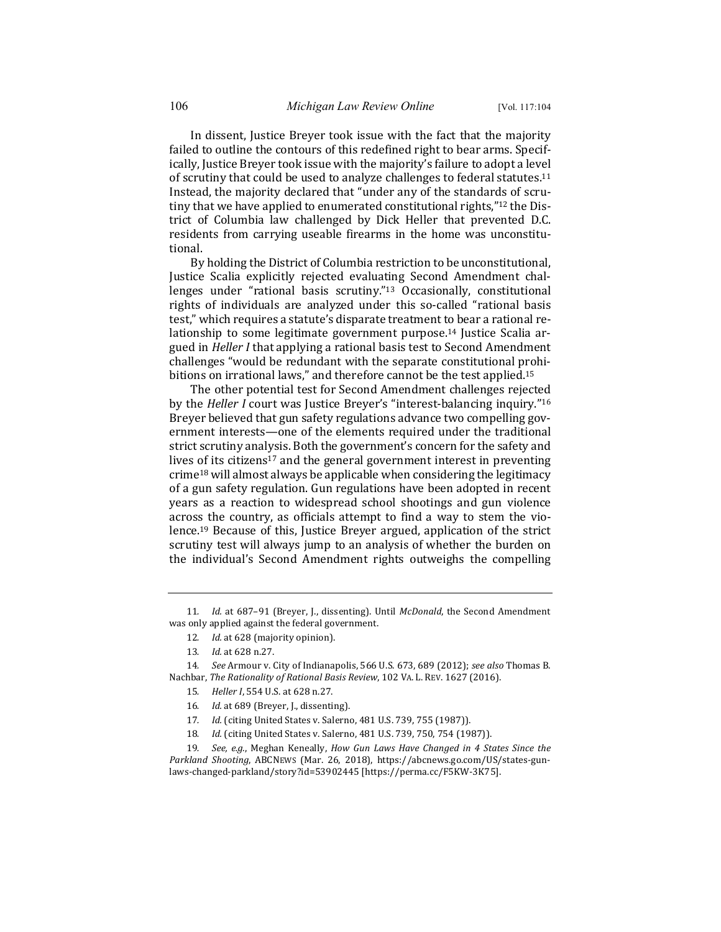In dissent, Justice Breyer took issue with the fact that the majority failed to outline the contours of this redefined right to bear arms. Specifically, Justice Breyer took issue with the majority's failure to adopt a level of scrutiny that could be used to analyze challenges to federal statutes.<sup>11</sup> Instead, the majority declared that "under any of the standards of scrutiny that we have applied to enumerated constitutional rights,"<sup>12</sup> the District of Columbia law challenged by Dick Heller that prevented D.C. residents from carrying useable firearms in the home was unconstitutional.

By holding the District of Columbia restriction to be unconstitutional, Justice Scalia explicitly rejected evaluating Second Amendment challenges under "rational basis scrutiny."<sup>13</sup> Occasionally, constitutional rights of individuals are analyzed under this so-called "rational basis test," which requires a statute's disparate treatment to bear a rational relationship to some legitimate government purpose.<sup>14</sup> Justice Scalia argued in *Heller I* that applying a rational basis test to Second Amendment challenges "would be redundant with the separate constitutional prohibitions on irrational laws," and therefore cannot be the test applied.<sup>15</sup>

The other potential test for Second Amendment challenges rejected by the *Heller I* court was Justice Breyer's "interest-balancing inquiry."<sup>16</sup> Breyer believed that gun safety regulations advance two compelling government interests—one of the elements required under the traditional strict scrutiny analysis. Both the government's concern for the safety and lives of its citizens<sup>17</sup> and the general government interest in preventing  $\frac{18 \text{ will almost always be applicable when considering the legitimate}}{10}$ of a gun safety regulation. Gun regulations have been adopted in recent years as a reaction to widespread school shootings and gun violence across the country, as officials attempt to find a way to stem the violence.<sup>19</sup> Because of this, Justice Breyer argued, application of the strict scrutiny test will always jump to an analysis of whether the burden on the individual's Second Amendment rights outweighs the compelling

12. *Id.* at 628 (majority opinion).

- 15. *Heller I*, 554 U.S. at 628 n.27.
- 16. Id. at 689 (Breyer, J., dissenting).
- 17. *Id.* (citing United States v. Salerno, 481 U.S. 739, 755 (1987)).
- 18. *Id.* (citing United States v. Salerno, 481 U.S. 739, 750, 754 (1987)).

19. *See, e.g.*, Meghan Keneally, *How Gun Laws Have Changed in 4 States Since the Parkland Shooting*, ABCNEWS (Mar. 26, 2018), https://abcnews.go.com/US/states-gunlaws-changed-parkland/story?id=53902445 [https://perma.cc/F5KW-3K75].

<sup>11.</sup> *Id.* at 687-91 (Breyer, J., dissenting). Until *McDonald*, the Second Amendment was only applied against the federal government.

<sup>13.</sup> *Id.* at 628 n.27.

<sup>14.</sup> *See* Armour v. City of Indianapolis, 566 U.S. 673, 689 (2012); see also Thomas B. Nachbar, The Rationality of Rational Basis Review, 102 VA. L. REV. 1627 (2016).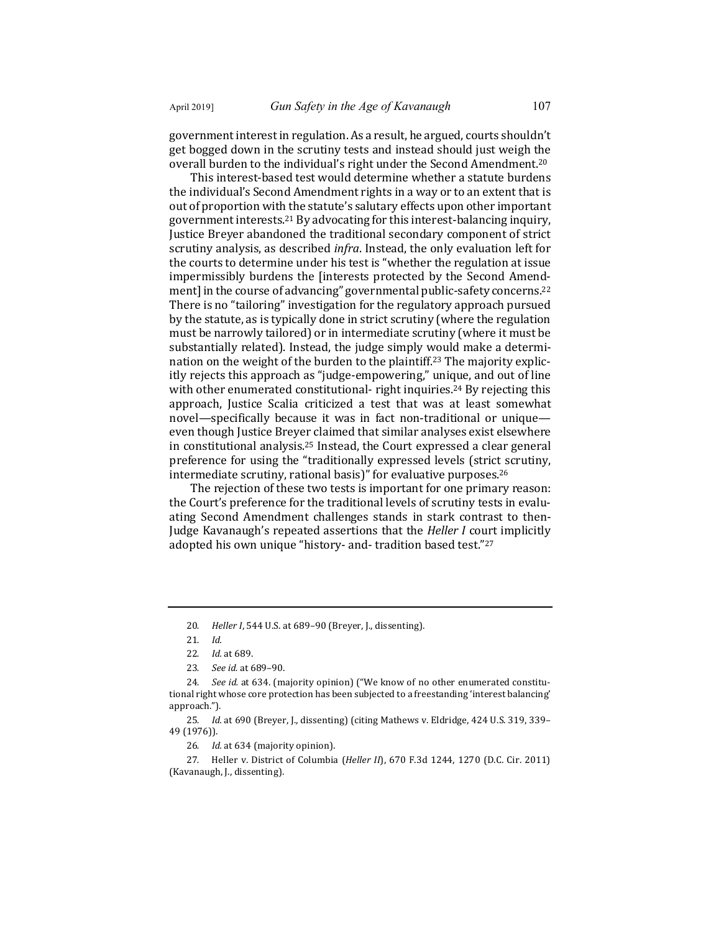government interest in regulation. As a result, he argued, courts shouldn't get bogged down in the scrutiny tests and instead should just weigh the overall burden to the individual's right under the Second Amendment.<sup>20</sup>

This interest-based test would determine whether a statute burdens the individual's Second Amendment rights in a way or to an extent that is out of proportion with the statute's salutary effects upon other important government interests.<sup>21</sup> By advocating for this interest-balancing inquiry, Justice Breyer abandoned the traditional secondary component of strict scrutiny analysis, as described *infra*. Instead, the only evaluation left for the courts to determine under his test is "whether the regulation at issue impermissibly burdens the [interests protected by the Second Amendment] in the course of advancing" governmental public-safety concerns.<sup>22</sup> There is no "tailoring" investigation for the regulatory approach pursued by the statute, as is typically done in strict scrutiny (where the regulation must be narrowly tailored) or in intermediate scrutiny (where it must be substantially related). Instead, the judge simply would make a determination on the weight of the burden to the plaintiff.<sup>23</sup> The majority explicitly rejects this approach as "judge-empowering," unique, and out of line with other enumerated constitutional- right inquiries.<sup>24</sup> By rejecting this approach, Justice Scalia criticized a test that was at least somewhat novel—specifically because it was in fact non-traditional or unique even though Justice Breyer claimed that similar analyses exist elsewhere in constitutional analysis.<sup>25</sup> Instead, the Court expressed a clear general preference for using the "traditionally expressed levels (strict scrutiny, intermediate scrutiny, rational basis)" for evaluative purposes. $26$ 

The rejection of these two tests is important for one primary reason: the Court's preference for the traditional levels of scrutiny tests in evaluating Second Amendment challenges stands in stark contrast to then-Judge Kavanaugh's repeated assertions that the *Heller I* court implicitly adopted his own unique "history- and- tradition based test."27

27. Heller v. District of Columbia (*Heller II*), 670 F.3d 1244, 1270 (D.C. Cir. 2011) (Kavanaugh, J., dissenting).

<sup>20.</sup> *Heller I*, 544 U.S. at 689-90 (Breyer, J., dissenting).

<sup>21</sup>*. Id.*

<sup>22</sup>*. Id.* at 689.

<sup>23</sup>*. See id.* at 689–90.

<sup>24.</sup> *See id.* at 634. (majority opinion) ("We know of no other enumerated constitutional right whose core protection has been subjected to a freestanding 'interest balancing' approach.").

<sup>25.</sup> *Id.* at 690 (Breyer, J., dissenting) (citing Mathews v. Eldridge, 424 U.S. 319, 339– 49 (1976)).

<sup>26.</sup> *Id.* at 634 (majority opinion).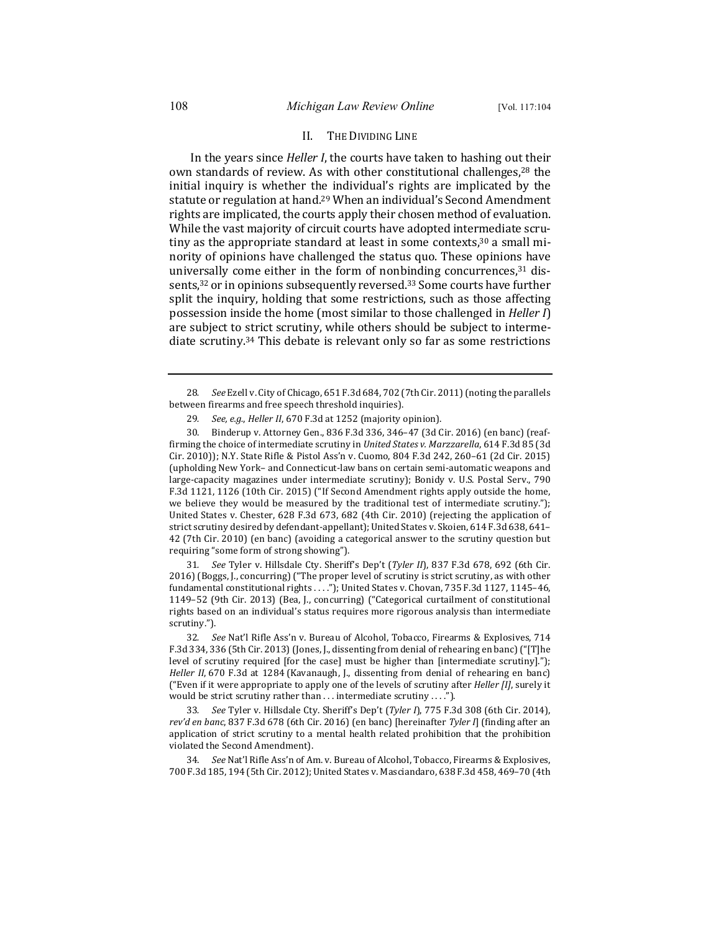#### II. THE DIVIDING LINE

In the years since *Heller I*, the courts have taken to hashing out their own standards of review. As with other constitutional challenges,<sup>28</sup> the initial inquiry is whether the individual's rights are implicated by the statute or regulation at hand.<sup>29</sup> When an individual's Second Amendment rights are implicated, the courts apply their chosen method of evaluation. While the vast majority of circuit courts have adopted intermediate scrutiny as the appropriate standard at least in some contexts,<sup>30</sup> a small minority of opinions have challenged the status quo. These opinions have universally come either in the form of nonbinding concurrences, $31$  dissents,<sup>32</sup> or in opinions subsequently reversed.<sup>33</sup> Some courts have further split the inquiry, holding that some restrictions, such as those affecting possession inside the home (most similar to those challenged in *Heller I*) are subject to strict scrutiny, while others should be subject to intermediate scrutiny.<sup>34</sup> This debate is relevant only so far as some restrictions

30. Binderup v. Attorney Gen., 836 F.3d 336, 346-47 (3d Cir. 2016) (en banc) (reaffirming the choice of intermediate scrutiny in *United States v. Marzzarella*, 614 F.3d 85 (3d Cir. 2010)); N.Y. State Rifle & Pistol Ass'n v. Cuomo, 804 F.3d 242, 260-61 (2d Cir. 2015) (upholding New York- and Connecticut-law bans on certain semi-automatic weapons and large-capacity magazines under intermediate scrutiny); Bonidy v. U.S. Postal Serv., 790 F.3d 1121, 1126 (10th Cir. 2015) ("If Second Amendment rights apply outside the home, we believe they would be measured by the traditional test of intermediate scrutiny."); United States v. Chester, 628 F.3d 673, 682 (4th Cir. 2010) (rejecting the application of strict scrutiny desired by defendant-appellant); United States v. Skoien, 614 F.3d 638, 641-42 (7th Cir. 2010) (en banc) (avoiding a categorical answer to the scrutiny question but requiring "some form of strong showing").

31. *See* Tyler v. Hillsdale Cty. Sheriff's Dep't (*Tyler II*), 837 F.3d 678, 692 (6th Cir. 2016) (Boggs, J., concurring) ("The proper level of scrutiny is strict scrutiny, as with other fundamental constitutional rights . . . ."); United States v. Chovan, 735 F.3d 1127, 1145-46, 1149-52 (9th Cir. 2013) (Bea, J., concurring) ("Categorical curtailment of constitutional rights based on an individual's status requires more rigorous analysis than intermediate scrutiny.").

32. *See* Nat'l Rifle Ass'n v. Bureau of Alcohol, Tobacco, Firearms & Explosives, 714 F.3d 334, 336 (5th Cir. 2013) (Jones, J., dissenting from denial of rehearing en banc) ("[T]he level of scrutiny required [for the case] must be higher than [intermediate scrutiny]."); *Heller II*, 670 F.3d at 1284 (Kavanaugh, J., dissenting from denial of rehearing en banc) ("Even if it were appropriate to apply one of the levels of scrutiny after *Heller [I]*, surely it would be strict scrutiny rather than  $\dots$  intermediate scrutiny  $\dots$ .").

33. See Tyler v. Hillsdale Cty. Sheriff's Dep't (*Tyler I*), 775 F.3d 308 (6th Cir. 2014), *rev'd en banc*, 837 F.3d 678 (6th Cir. 2016) (en banc) [hereinafter *Tyler I*] (finding after an application of strict scrutiny to a mental health related prohibition that the prohibition violated the Second Amendment).

34. *See* Nat'l Rifle Ass'n of Am. v. Bureau of Alcohol, Tobacco, Firearms & Explosives, 700 F.3d 185, 194 (5th Cir. 2012); United States v. Masciandaro, 638 F.3d 458, 469-70 (4th

<sup>28.</sup> See Ezell v. City of Chicago, 651 F.3d 684, 702 (7th Cir. 2011) (noting the parallels between firearms and free speech threshold inquiries).

<sup>29.</sup> See, e.g., Heller II, 670 F.3d at 1252 (majority opinion).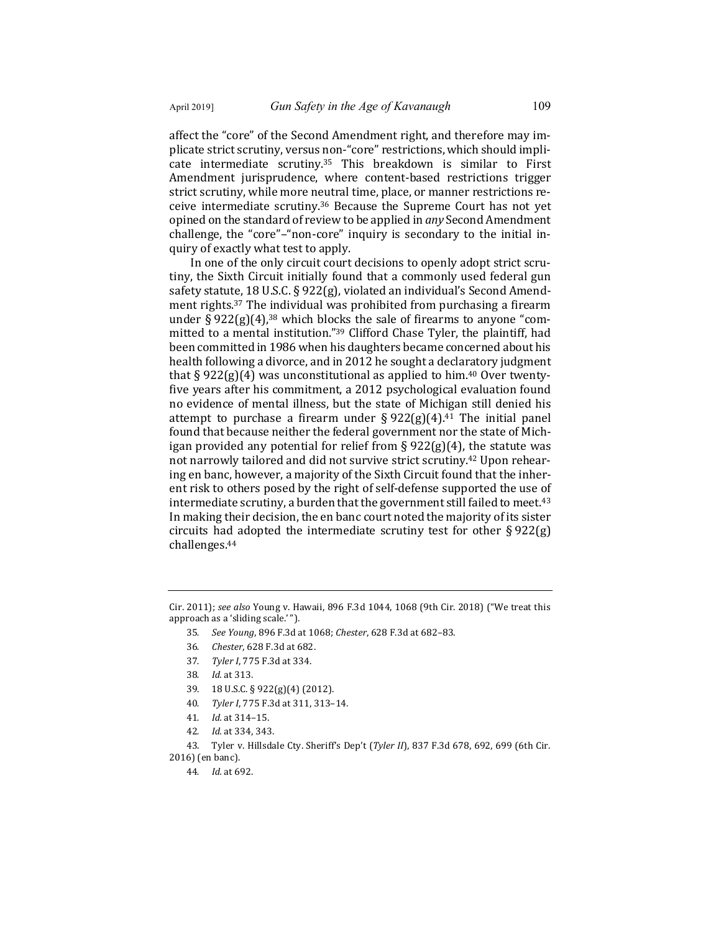affect the "core" of the Second Amendment right, and therefore may implicate strict scrutiny, versus non-"core" restrictions, which should implicate intermediate scrutiny.<sup>35</sup> This breakdown is similar to First Amendment jurisprudence, where content-based restrictions trigger strict scrutiny, while more neutral time, place, or manner restrictions receive intermediate scrutiny.<sup>36</sup> Because the Supreme Court has not yet opined on the standard of review to be applied in *any* Second Amendment challenge, the "core"–"non-core" inquiry is secondary to the initial inquiry of exactly what test to apply.

In one of the only circuit court decisions to openly adopt strict scrutiny, the Sixth Circuit initially found that a commonly used federal gun safety statute, 18 U.S.C. § 922(g), violated an individual's Second Amendment rights.<sup>37</sup> The individual was prohibited from purchasing a firearm under  $\S 922(g)(4)$ ,<sup>38</sup> which blocks the sale of firearms to anyone "committed to a mental institution."<sup>39</sup> Clifford Chase Tyler, the plaintiff, had been committed in 1986 when his daughters became concerned about his health following a divorce, and in 2012 he sought a declaratory judgment that  $\S 922(g)(4)$  was unconstitutional as applied to him.<sup>40</sup> Over twentyfive years after his commitment, a 2012 psychological evaluation found no evidence of mental illness, but the state of Michigan still denied his attempt to purchase a firearm under  $\S 922(g)(4)$ .<sup>41</sup> The initial panel found that because neither the federal government nor the state of Michigan provided any potential for relief from  $\S 922(g)(4)$ , the statute was not narrowly tailored and did not survive strict scrutiny.<sup>42</sup> Upon rehearing en banc, however, a majority of the Sixth Circuit found that the inherent risk to others posed by the right of self-defense supported the use of intermediate scrutiny, a burden that the government still failed to meet.<sup>43</sup> In making their decision, the en banc court noted the majority of its sister circuits had adopted the intermediate scrutiny test for other  $\S 922(g)$ challenges.44

- 35. *See Young*, 896 F.3d at 1068; *Chester*, 628 F.3d at 682-83.
- 36*. Chester*, 628 F.3d at 682.
- 37*. Tyler I*, 775 F.3d at 334.
- 38*. Id.* at 313.
- 39. 18 U.S.C. § 922(g)(4) (2012).
- 40. Tyler I, 775 F.3d at 311, 313-14.
- 41*. Id.* at 314–15.
- 42*. Id.* at 334, 343.

43. Tyler v. Hillsdale Cty. Sheriff's Dep't (*Tyler II*), 837 F.3d 678, 692, 699 (6th Cir. 2016) (en banc).

44*. Id.* at 692.

Cir. 2011); see also Young v. Hawaii, 896 F.3d 1044, 1068 (9th Cir. 2018) ("We treat this approach as a 'sliding scale.'").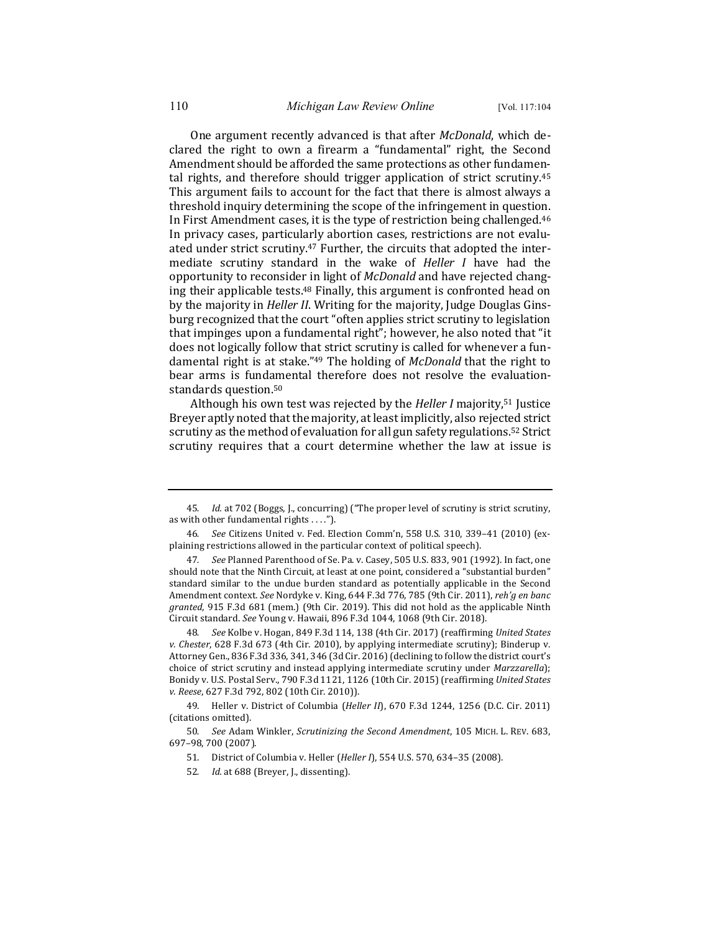One argument recently advanced is that after *McDonald*, which declared the right to own a firearm a "fundamental" right, the Second Amendment should be afforded the same protections as other fundamental rights, and therefore should trigger application of strict scrutiny.<sup>45</sup> This argument fails to account for the fact that there is almost always a threshold inquiry determining the scope of the infringement in question. In First Amendment cases, it is the type of restriction being challenged.<sup>46</sup> In privacy cases, particularly abortion cases, restrictions are not evaluated under strict scrutiny.<sup>47</sup> Further, the circuits that adopted the intermediate scrutiny standard in the wake of *Heller I* have had the opportunity to reconsider in light of *McDonald* and have rejected changing their applicable tests.<sup>48</sup> Finally, this argument is confronted head on by the majority in *Heller II*. Writing for the majority, Judge Douglas Ginsburg recognized that the court "often applies strict scrutiny to legislation that impinges upon a fundamental right"; however, he also noted that "it does not logically follow that strict scrutiny is called for whenever a fundamental right is at stake."<sup>49</sup> The holding of *McDonald* that the right to bear arms is fundamental therefore does not resolve the evaluationstandards question.<sup>50</sup>

Although his own test was rejected by the *Heller I* majority,<sup>51</sup> Justice Breyer aptly noted that the majority, at least implicitly, also rejected strict scrutiny as the method of evaluation for all gun safety regulations.<sup>52</sup> Strict scrutiny requires that a court determine whether the law at issue is

<sup>45.</sup> *Id.* at 702 (Boggs, J., concurring) ("The proper level of scrutiny is strict scrutiny, as with other fundamental rights  $\dots$ .").

<sup>46.</sup> *See* Citizens United v. Fed. Election Comm'n, 558 U.S. 310, 339-41 (2010) (explaining restrictions allowed in the particular context of political speech).

<sup>47.</sup> *See* Planned Parenthood of Se. Pa. v. Casey, 505 U.S. 833, 901 (1992). In fact, one should note that the Ninth Circuit, at least at one point, considered a "substantial burden" standard similar to the undue burden standard as potentially applicable in the Second Amendment context. See Nordyke v. King, 644 F.3d 776, 785 (9th Cir. 2011), reh'g en banc granted, 915 F.3d 681 (mem.) (9th Cir. 2019). This did not hold as the applicable Ninth Circuit standard. See Young v. Hawaii, 896 F.3d 1044, 1068 (9th Cir. 2018).

See Kolbe v. Hogan, 849 F.3d 114, 138 (4th Cir. 2017) (reaffirming *United States v.* Chester, 628 F.3d 673 (4th Cir. 2010), by applying intermediate scrutiny); Binderup v. Attorney Gen., 836 F.3d 336, 341, 346 (3d Cir. 2016) (declining to follow the district court's choice of strict scrutiny and instead applying intermediate scrutiny under *Marzzarella*); Bonidy v. U.S. Postal Serv., 790 F.3d 1121, 1126 (10th Cir. 2015) (reaffirming *United States v. Reese*, 627 F.3d 792, 802 (10th Cir. 2010)).

<sup>49.</sup> Heller v. District of Columbia (*Heller II*), 670 F.3d 1244, 1256 (D.C. Cir. 2011) (citations omitted).

<sup>50.</sup> See Adam Winkler, *Scrutinizing the Second Amendment*, 105 MICH. L. REV. 683, 697–98, 700 (2007).

<sup>51.</sup> District of Columbia v. Heller (*Heller I*), 554 U.S. 570, 634-35 (2008).

<sup>52.</sup> *Id.* at 688 (Breyer, J., dissenting).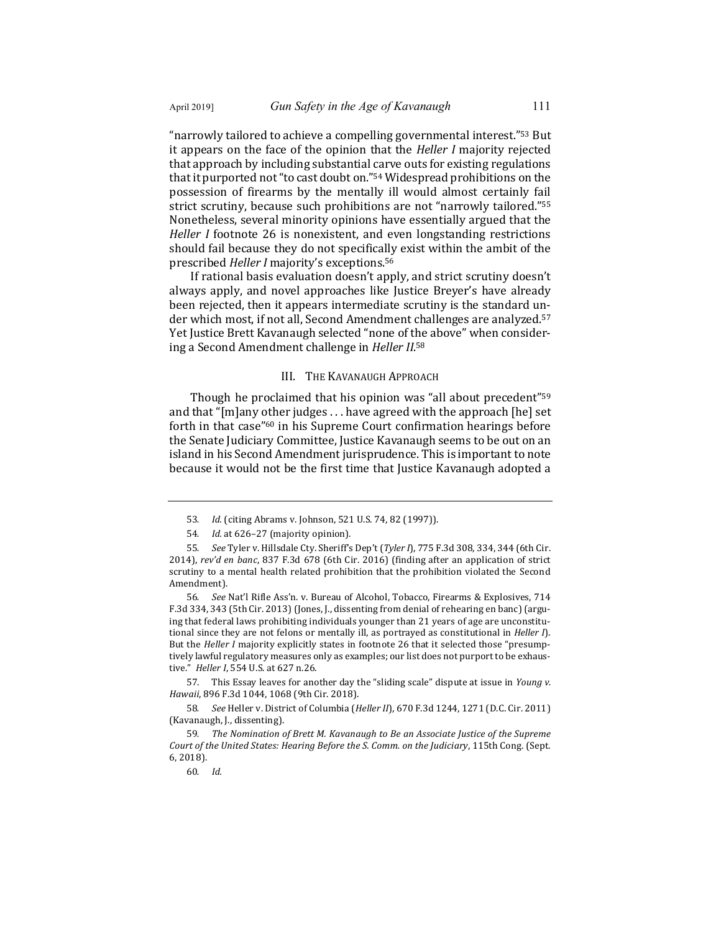"narrowly tailored to achieve a compelling governmental interest."<sup>53</sup> But it appears on the face of the opinion that the *Heller I* majority rejected that approach by including substantial carve outs for existing regulations that it purported not "to cast doubt on."<sup>54</sup> Widespread prohibitions on the possession of firearms by the mentally ill would almost certainly fail strict scrutiny, because such prohibitions are not "narrowly tailored."<sup>55</sup> Nonetheless, several minority opinions have essentially argued that the *Heller I* footnote 26 is nonexistent, and even longstanding restrictions should fail because they do not specifically exist within the ambit of the prescribed *Heller I* majority's exceptions.<sup>56</sup>

If rational basis evaluation doesn't apply, and strict scrutiny doesn't always apply, and novel approaches like Justice Breyer's have already been rejected, then it appears intermediate scrutiny is the standard under which most, if not all, Second Amendment challenges are analyzed.<sup>57</sup> Yet Justice Brett Kavanaugh selected "none of the above" when considering a Second Amendment challenge in *Heller II*.<sup>58</sup>

#### III. THE KAVANAUGH APPROACH

Though he proclaimed that his opinion was "all about precedent"<sup>59</sup> and that " $[m]$ any other judges ... have agreed with the approach  $[he]$  set forth in that case"<sup>60</sup> in his Supreme Court confirmation hearings before the Senate Judiciary Committee, Justice Kavanaugh seems to be out on an island in his Second Amendment jurisprudence. This is important to note because it would not be the first time that Justice Kavanaugh adopted a

56. *See* Nat'l Rifle Ass'n. v. Bureau of Alcohol, Tobacco, Firearms & Explosives, 714 F.3d 334, 343 (5th Cir. 2013) (Jones, J., dissenting from denial of rehearing en banc) (arguing that federal laws prohibiting individuals younger than 21 years of age are unconstitutional since they are not felons or mentally ill, as portrayed as constitutional in *Heller I*). But the *Heller I* majority explicitly states in footnote 26 that it selected those "presumptively lawful regulatory measures only as examples; our list does not purport to be exhaustive." *Heller I*, 554 U.S. at 627 n.26.

57. This Essay leaves for another day the "sliding scale" dispute at issue in *Young v. Hawaii*, 896 F.3d 1044, 1068 (9th Cir. 2018).

58. *See* Heller v. District of Columbia (*Heller II*), 670 F.3d 1244, 1271 (D.C. Cir. 2011) (Kavanaugh, J., dissenting).

59. The Nomination of Brett M. Kavanaugh to Be an Associate Justice of the Supreme *Court of the United States: Hearing Before the S. Comm. on the Judiciary*, 115th Cong. (Sept. 6, 2018).

<sup>53.</sup> *Id.* (citing Abrams v. Johnson, 521 U.S. 74, 82 (1997)).

<sup>54.</sup> *Id.* at 626-27 (majority opinion).

<sup>55.</sup> See Tyler v. Hillsdale Cty. Sheriff's Dep't (Tyler I), 775 F.3d 308, 334, 344 (6th Cir. 2014), rev'd en banc, 837 F.3d 678 (6th Cir. 2016) (finding after an application of strict scrutiny to a mental health related prohibition that the prohibition violated the Second Amendment).

<sup>60</sup>*. Id.*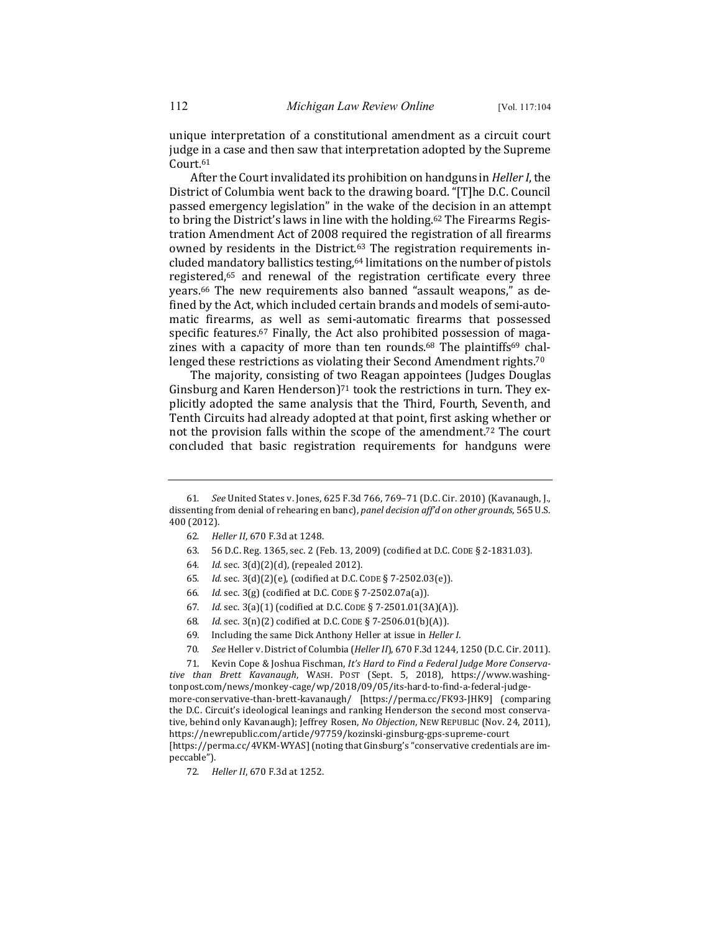unique interpretation of a constitutional amendment as a circuit court judge in a case and then saw that interpretation adopted by the Supreme Court.61

After the Court invalidated its prohibition on handguns in *Heller I*, the District of Columbia went back to the drawing board. "[T]he D.C. Council passed emergency legislation" in the wake of the decision in an attempt to bring the District's laws in line with the holding.<sup>62</sup> The Firearms Registration Amendment Act of 2008 required the registration of all firearms owned by residents in the District.<sup>63</sup> The registration requirements included mandatory ballistics testing,<sup>64</sup> limitations on the number of pistols registered,<sup>65</sup> and renewal of the registration certificate every three years.<sup>66</sup> The new requirements also banned "assault weapons," as defined by the Act, which included certain brands and models of semi-automatic firearms, as well as semi-automatic firearms that possessed specific features.<sup>67</sup> Finally, the Act also prohibited possession of magazines with a capacity of more than ten rounds.<sup>68</sup> The plaintiffs<sup>69</sup> challenged these restrictions as violating their Second Amendment rights.<sup>70</sup>

The majority, consisting of two Reagan appointees (Judges Douglas Ginsburg and Karen Henderson)<sup>71</sup> took the restrictions in turn. They explicitly adopted the same analysis that the Third, Fourth, Seventh, and Tenth Circuits had already adopted at that point, first asking whether or not the provision falls within the scope of the amendment.<sup>72</sup> The court concluded that basic registration requirements for handguns were

- 63. 56 D.C. Reg. 1365, sec. 2 (Feb. 13, 2009) (codified at D.C. CODE § 2-1831.03).
- 64*. Id.* sec. 3(d)(2)(d), (repealed 2012).
- 65*. Id.* sec. 3(d)(2)(e), (codified at D.C. CODE § 7-2502.03(e)).
- 66*. Id.* sec. 3(g) (codified at D.C. CODE § 7-2502.07a(a)).
- 67*. Id.* sec. 3(a)(1) (codified at D.C. CODE § 7-2501.01(3A)(A)).
- 68*. Id.* sec. 3(n)(2) codified at D.C. CODE § 7-2506.01(b)(A)).
- 69. Including the same Dick Anthony Heller at issue in *Heller I*.
- 70. *See* Heller v. District of Columbia (*Heller II*), 670 F.3d 1244, 1250 (D.C. Cir. 2011).

71. Kevin Cope & Joshua Fischman, It's Hard to Find a Federal Judge More Conserva*tive than Brett Kavanaugh*, WASH. POST (Sept. 5, 2018), https://www.washingtonpost.com/news/monkey-cage/wp/2018/09/05/its-hard-to-find-a-federal-judgemore-conservative-than-brett-kavanaugh/ [https://perma.cc/FK93-JHK9] (comparing the D.C. Circuit's ideological leanings and ranking Henderson the second most conservative, behind only Kavanaugh); Jeffrey Rosen, *No Objection*, NEW REPUBLIC (Nov. 24, 2011), https://newrepublic.com/article/97759/kozinski-ginsburg-gps-supreme-court [https://perma.cc/4VKM-WYAS] (noting that Ginsburg's "conservative credentials are impeccable").

<sup>61.</sup> See United States v. Jones, 625 F.3d 766, 769-71 (D.C. Cir. 2010) (Kavanaugh, J., dissenting from denial of rehearing en banc), panel decision aff'd on other grounds, 565 U.S. 400 (2012).

<sup>62.</sup> Heller II, 670 F.3d at 1248.

<sup>72.</sup> *Heller II*, 670 F.3d at 1252.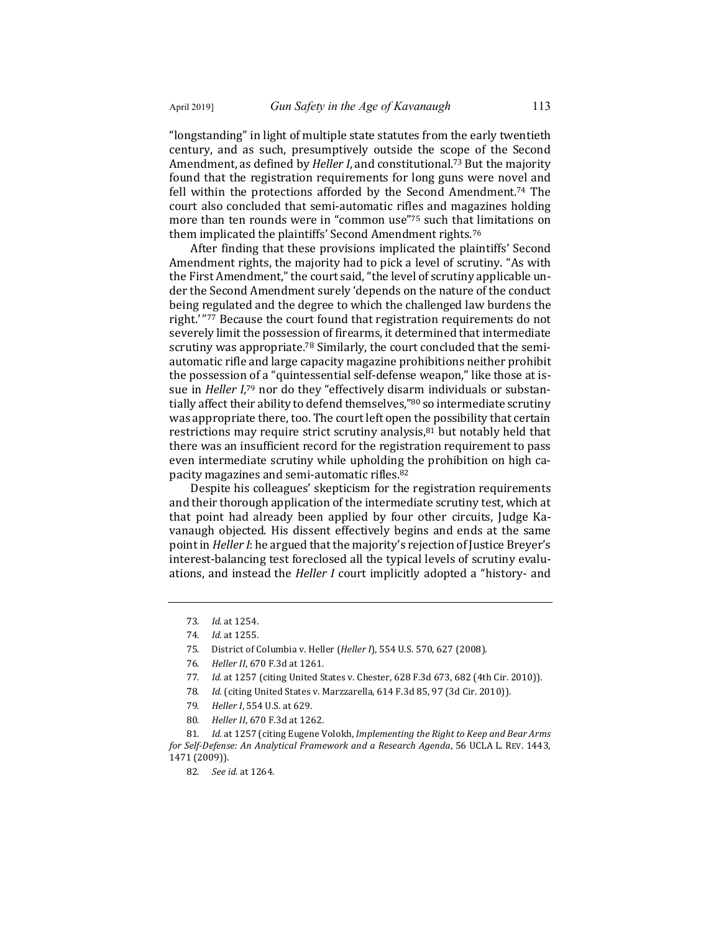"longstanding" in light of multiple state statutes from the early twentieth century, and as such, presumptively outside the scope of the Second Amendment, as defined by *Heller I*, and constitutional.<sup>73</sup> But the majority found that the registration requirements for long guns were novel and fell within the protections afforded by the Second Amendment.<sup>74</sup> The court also concluded that semi-automatic rifles and magazines holding more than ten rounds were in "common use"75 such that limitations on them implicated the plaintiffs' Second Amendment rights.<sup>76</sup>

After finding that these provisions implicated the plaintiffs' Second Amendment rights, the majority had to pick a level of scrutiny. "As with the First Amendment," the court said, "the level of scrutiny applicable under the Second Amendment surely 'depends on the nature of the conduct being regulated and the degree to which the challenged law burdens the right.'"77 Because the court found that registration requirements do not severely limit the possession of firearms, it determined that intermediate scrutiny was appropriate.<sup>78</sup> Similarly, the court concluded that the semiautomatic rifle and large capacity magazine prohibitions neither prohibit the possession of a "quintessential self-defense weapon," like those at issue in *Heller I*,<sup>79</sup> nor do they "effectively disarm individuals or substantially affect their ability to defend themselves," $80$  so intermediate scrutiny was appropriate there, too. The court left open the possibility that certain restrictions may require strict scrutiny analysis, $81$  but notably held that there was an insufficient record for the registration requirement to pass even intermediate scrutiny while upholding the prohibition on high capacity magazines and semi-automatic rifles.<sup>82</sup>

Despite his colleagues' skepticism for the registration requirements and their thorough application of the intermediate scrutiny test, which at that point had already been applied by four other circuits, Judge Kavanaugh objected. His dissent effectively begins and ends at the same point in *Heller I*: he argued that the majority's rejection of Justice Breyer's interest-balancing test foreclosed all the typical levels of scrutiny evaluations, and instead the *Heller I* court implicitly adopted a "history- and

- 77. *Id.* at 1257 (citing United States v. Chester, 628 F.3d 673, 682 (4th Cir. 2010)).
- 78. Id. (citing United States v. Marzzarella, 614 F.3d 85, 97 (3d Cir. 2010)).
- 79. *Heller I*, 554 U.S. at 629.
- 80. Heller II, 670 F.3d at 1262.

81. *Id.* at 1257 (citing Eugene Volokh, *Implementing the Right to Keep and Bear Arms for Self-Defense: An Analytical Framework and a Research Agenda*, 56 UCLA L. REV. 1443, 1471 (2009)).

<sup>73</sup>*. Id.* at 1254.

<sup>74</sup>*. Id.* at 1255.

<sup>75.</sup> District of Columbia v. Heller (*Heller I*), 554 U.S. 570, 627 (2008).

<sup>76.</sup> Heller II, 670 F.3d at 1261.

<sup>82</sup>*. See id.* at 1264.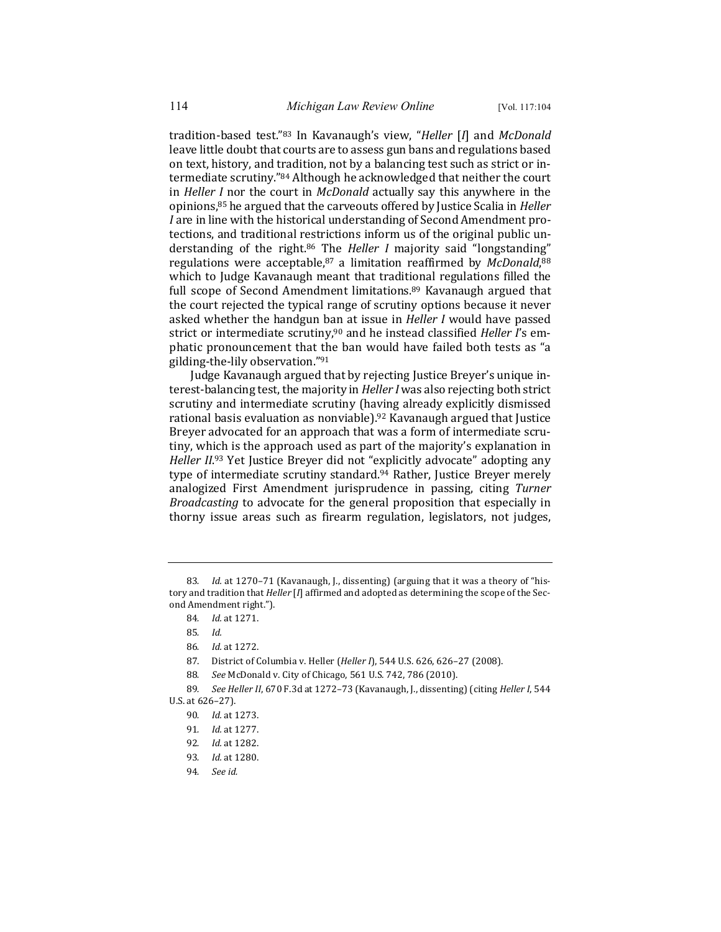tradition-based test."83 In Kavanaugh's view, "*Heller* [*I*] and *McDonald* leave little doubt that courts are to assess gun bans and regulations based on text, history, and tradition, not by a balancing test such as strict or intermediate scrutiny."84 Although he acknowledged that neither the court in *Heller I* nor the court in *McDonald* actually say this anywhere in the opinions,<sup>85</sup> he argued that the carveouts offered by Justice Scalia in *Heller I* are in line with the historical understanding of Second Amendment protections, and traditional restrictions inform us of the original public understanding of the right.<sup>86</sup> The *Heller I* majority said "longstanding" regulations were acceptable, 87 a limitation reaffirmed by *McDonald*, 88 which to Judge Kavanaugh meant that traditional regulations filled the full scope of Second Amendment limitations.<sup>89</sup> Kavanaugh argued that the court rejected the typical range of scrutiny options because it never asked whether the handgun ban at issue in *Heller I* would have passed strict or intermediate scrutiny,<sup>90</sup> and he instead classified *Heller I's* emphatic pronouncement that the ban would have failed both tests as "a gilding-the-lily observation."91

Judge Kavanaugh argued that by rejecting Justice Breyer's unique interest-balancing test, the majority in *Heller I* was also rejecting both strict scrutiny and intermediate scrutiny (having already explicitly dismissed rational basis evaluation as nonviable).<sup>92</sup> Kavanaugh argued that Justice Breyer advocated for an approach that was a form of intermediate scrutiny, which is the approach used as part of the majority's explanation in Heller II.<sup>93</sup> Yet Justice Breyer did not "explicitly advocate" adopting any type of intermediate scrutiny standard.<sup>94</sup> Rather, Justice Breyer merely analogized First Amendment jurisprudence in passing, citing Turner *Broadcasting* to advocate for the general proposition that especially in thorny issue areas such as firearm regulation, legislators, not judges,

88. *See* McDonald v. City of Chicago, 561 U.S. 742, 786 (2010).

<sup>83.</sup> *Id.* at 1270-71 (Kavanaugh, J., dissenting) (arguing that it was a theory of "history and tradition that *Heller* [*I*] affirmed and adopted as determining the scope of the Second Amendment right.").

<sup>84</sup>*. Id.* at 1271.

<sup>85</sup>*. Id.*

<sup>86</sup>*. Id.* at 1272.

<sup>87.</sup> District of Columbia v. Heller (*Heller I*), 544 U.S. 626, 626-27 (2008).

<sup>89.</sup> *See Heller II*, 670 F.3d at 1272-73 (Kavanaugh, J., dissenting) (citing *Heller I*, 544 U.S. at 626-27).

<sup>90</sup>*. Id.* at 1273.

<sup>91</sup>*. Id.* at 1277.

<sup>92</sup>*. Id.* at 1282.

<sup>93</sup>*. Id.* at 1280.

<sup>94</sup>*. See id.*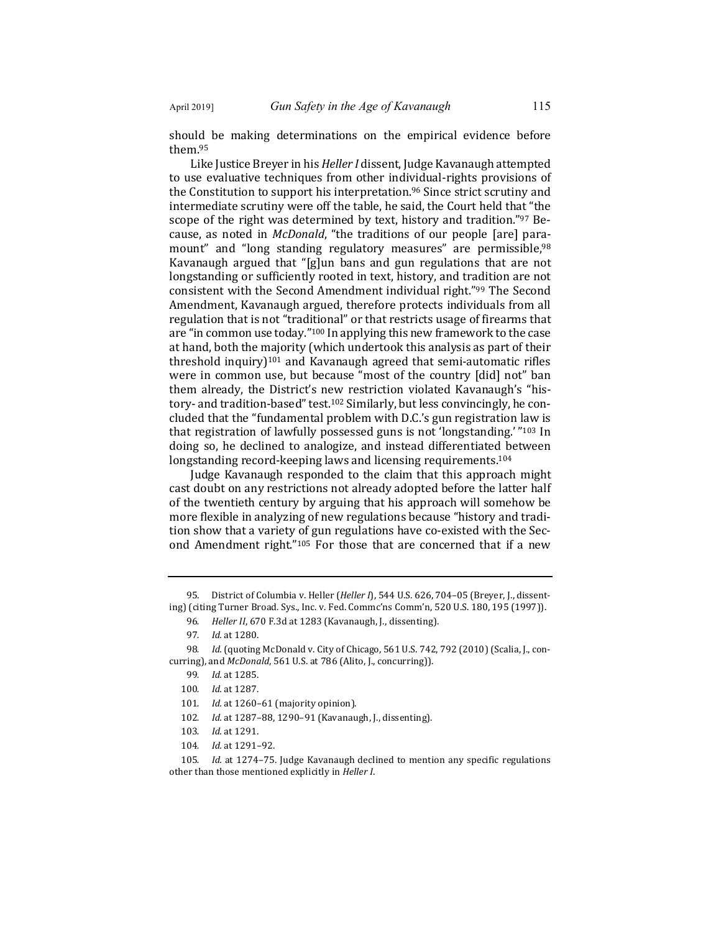should be making determinations on the empirical evidence before them.95

Like Justice Breyer in his *Heller I* dissent, Judge Kavanaugh attempted to use evaluative techniques from other individual-rights provisions of the Constitution to support his interpretation.<sup>96</sup> Since strict scrutiny and intermediate scrutiny were off the table, he said, the Court held that "the scope of the right was determined by text, history and tradition."<sup>97</sup> Because, as noted in *McDonald*, "the traditions of our people [are] paramount" and "long standing regulatory measures" are permissible,<sup>98</sup> Kavanaugh argued that "[g]un bans and gun regulations that are not longstanding or sufficiently rooted in text, history, and tradition are not consistent with the Second Amendment individual right."99 The Second Amendment, Kavanaugh argued, therefore protects individuals from all regulation that is not "traditional" or that restricts usage of firearms that are "in common use today."<sup>100</sup> In applying this new framework to the case at hand, both the majority (which undertook this analysis as part of their threshold inquiry)<sup>101</sup> and Kavanaugh agreed that semi-automatic rifles were in common use, but because "most of the country [did] not" ban them already, the District's new restriction violated Kavanaugh's "history- and tradition-based" test.<sup>102</sup> Similarly, but less convincingly, he concluded that the "fundamental problem with D.C.'s gun registration law is that registration of lawfully possessed guns is not 'longstanding.' "103 In doing so, he declined to analogize, and instead differentiated between longstanding record-keeping laws and licensing requirements.<sup>104</sup>

Judge Kavanaugh responded to the claim that this approach might cast doubt on any restrictions not already adopted before the latter half of the twentieth century by arguing that his approach will somehow be more flexible in analyzing of new regulations because "history and tradition show that a variety of gun regulations have co-existed with the Second Amendment right."<sup>105</sup> For those that are concerned that if a new

95. District of Columbia v. Heller (*Heller I*), 544 U.S. 626, 704-05 (Breyer, J., dissenting) (citing Turner Broad. Sys., Inc. v. Fed. Commc'ns Comm'n, 520 U.S. 180, 195 (1997)).

96. Heller II, 670 F.3d at 1283 (Kavanaugh, J., dissenting).

98. Id. (quoting McDonald v. City of Chicago, 561 U.S. 742, 792 (2010) (Scalia, J., concurring), and *McDonald*, 561 U.S. at 786 (Alito, J., concurring)).

- 102. Id. at 1287-88, 1290-91 (Kavanaugh, J., dissenting).
- 103. *Id.* at 1291.
- 104. *Id.* at 1291-92.

105. *Id.* at 1274–75. Judge Kavanaugh declined to mention any specific regulations other than those mentioned explicitly in *Heller I*.

<sup>97</sup>*. Id.* at 1280.

<sup>99</sup>*. Id.* at 1285.

<sup>100.</sup> *Id.* at 1287.

<sup>101.</sup> *Id.* at 1260-61 (majority opinion).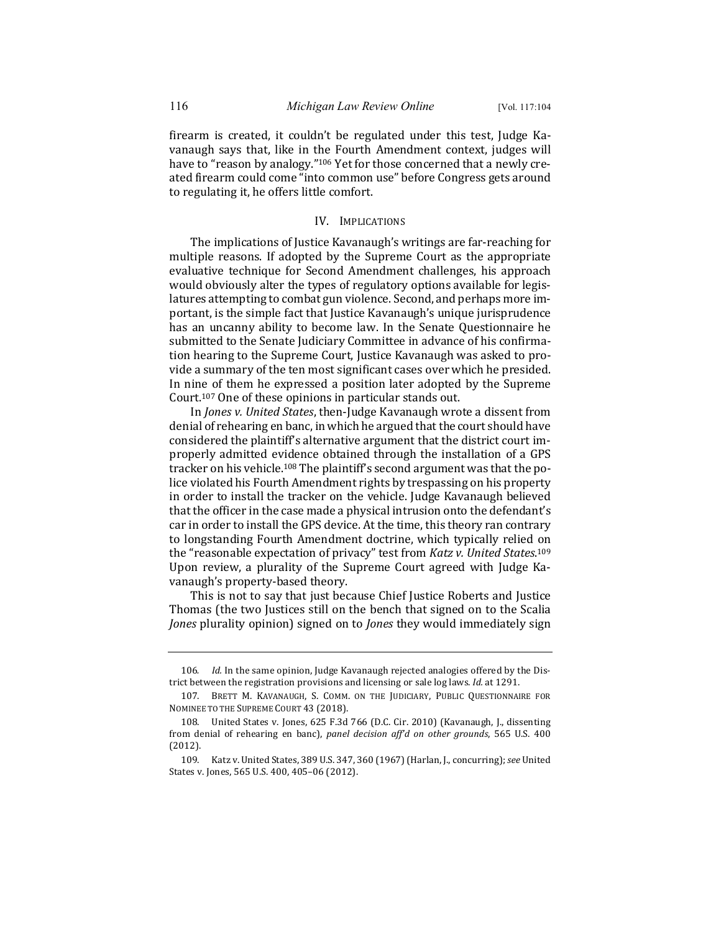firearm is created, it couldn't be regulated under this test, Judge Kavanaugh says that, like in the Fourth Amendment context, judges will have to "reason by analogy."<sup>106</sup> Yet for those concerned that a newly created firearm could come "into common use" before Congress gets around to regulating it, he offers little comfort.

### IV. IMPLICATIONS

The implications of Justice Kavanaugh's writings are far-reaching for multiple reasons. If adopted by the Supreme Court as the appropriate evaluative technique for Second Amendment challenges, his approach would obviously alter the types of regulatory options available for legislatures attempting to combat gun violence. Second, and perhaps more important, is the simple fact that Justice Kavanaugh's unique jurisprudence has an uncanny ability to become law. In the Senate Questionnaire he submitted to the Senate Judiciary Committee in advance of his confirmation hearing to the Supreme Court, Justice Kavanaugh was asked to provide a summary of the ten most significant cases over which he presided. In nine of them he expressed a position later adopted by the Supreme Court.<sup>107</sup> One of these opinions in particular stands out.

In *Jones v. United States*, then-Judge Kavanaugh wrote a dissent from denial of rehearing en banc, in which he argued that the court should have considered the plaintiff's alternative argument that the district court improperly admitted evidence obtained through the installation of a GPS tracker on his vehicle.<sup>108</sup> The plaintiff's second argument was that the police violated his Fourth Amendment rights by trespassing on his property in order to install the tracker on the vehicle. Judge Kavanaugh believed that the officer in the case made a physical intrusion onto the defendant's car in order to install the GPS device. At the time, this theory ran contrary to longstanding Fourth Amendment doctrine, which typically relied on the "reasonable expectation of privacy" test from *Katz v. United States*.<sup>109</sup> Upon review, a plurality of the Supreme Court agreed with Judge Kavanaugh's property-based theory.

This is not to say that just because Chief Justice Roberts and Justice Thomas (the two Justices still on the bench that signed on to the Scalia *Jones* plurality opinion) signed on to *Jones* they would immediately sign

<sup>106.</sup> *Id.* In the same opinion, Judge Kavanaugh rejected analogies offered by the District between the registration provisions and licensing or sale log laws. *Id.* at 1291.

<sup>107.</sup> BRETT M. KAVANAUGH, S. COMM. ON THE JUDICIARY, PUBLIC QUESTIONNAIRE FOR NOMINEE TO THE SUPREME COURT 43 (2018).

<sup>108.</sup> United States v. Jones, 625 F.3d 766 (D.C. Cir. 2010) (Kavanaugh, J., dissenting from denial of rehearing en banc), *panel decision aff'd on other grounds*, 565 U.S. 400 (2012).

<sup>109.</sup> Katz v. United States, 389 U.S. 347, 360 (1967) (Harlan, J., concurring); see United States v. Jones, 565 U.S. 400, 405-06 (2012).